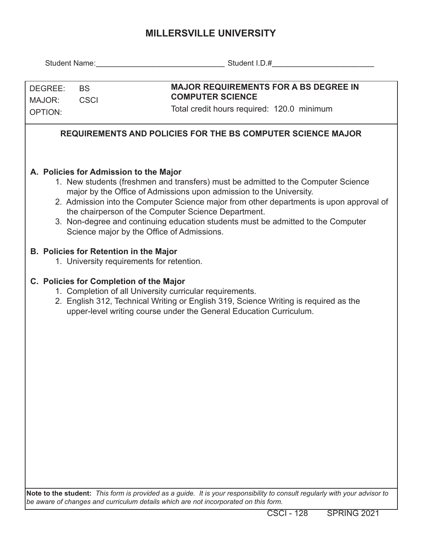## **MILLERSVILLE UNIVERSITY**

| DEGREE:<br><b>BS</b><br>MAJOR:<br><b>CSCI</b><br>OPTION:                                                                                                                                                                                                                                                                                                                                                                                                                               |                                         | <b>MAJOR REQUIREMENTS FOR A BS DEGREE IN</b><br><b>COMPUTER SCIENCE</b><br>Total credit hours required: 120.0 minimum                                                                                                  |  |  |  |  |  |  |  |  |
|----------------------------------------------------------------------------------------------------------------------------------------------------------------------------------------------------------------------------------------------------------------------------------------------------------------------------------------------------------------------------------------------------------------------------------------------------------------------------------------|-----------------------------------------|------------------------------------------------------------------------------------------------------------------------------------------------------------------------------------------------------------------------|--|--|--|--|--|--|--|--|
| <b>REQUIREMENTS AND POLICIES FOR THE BS COMPUTER SCIENCE MAJOR</b>                                                                                                                                                                                                                                                                                                                                                                                                                     |                                         |                                                                                                                                                                                                                        |  |  |  |  |  |  |  |  |
| A. Policies for Admission to the Major<br>1. New students (freshmen and transfers) must be admitted to the Computer Science<br>major by the Office of Admissions upon admission to the University.<br>2. Admission into the Computer Science major from other departments is upon approval of<br>the chairperson of the Computer Science Department.<br>3. Non-degree and continuing education students must be admitted to the Computer<br>Science major by the Office of Admissions. |                                         |                                                                                                                                                                                                                        |  |  |  |  |  |  |  |  |
| <b>B. Policies for Retention in the Major</b><br>1. University requirements for retention.                                                                                                                                                                                                                                                                                                                                                                                             |                                         |                                                                                                                                                                                                                        |  |  |  |  |  |  |  |  |
|                                                                                                                                                                                                                                                                                                                                                                                                                                                                                        | C. Policies for Completion of the Major | 1. Completion of all University curricular requirements.<br>2. English 312, Technical Writing or English 319, Science Writing is required as the<br>upper-level writing course under the General Education Curriculum. |  |  |  |  |  |  |  |  |
|                                                                                                                                                                                                                                                                                                                                                                                                                                                                                        |                                         |                                                                                                                                                                                                                        |  |  |  |  |  |  |  |  |
|                                                                                                                                                                                                                                                                                                                                                                                                                                                                                        |                                         |                                                                                                                                                                                                                        |  |  |  |  |  |  |  |  |
|                                                                                                                                                                                                                                                                                                                                                                                                                                                                                        |                                         |                                                                                                                                                                                                                        |  |  |  |  |  |  |  |  |
|                                                                                                                                                                                                                                                                                                                                                                                                                                                                                        |                                         |                                                                                                                                                                                                                        |  |  |  |  |  |  |  |  |
|                                                                                                                                                                                                                                                                                                                                                                                                                                                                                        |                                         | Note to the student: This form is provided as a quide. It is your responsibility to consult reqularly with your advisor to                                                                                             |  |  |  |  |  |  |  |  |

**Note to the student:** *This form is provided as a guide. It is your responsibility to consult regularly with your advisor to be aware of changes and curriculum details which are not incorporated on this form.*